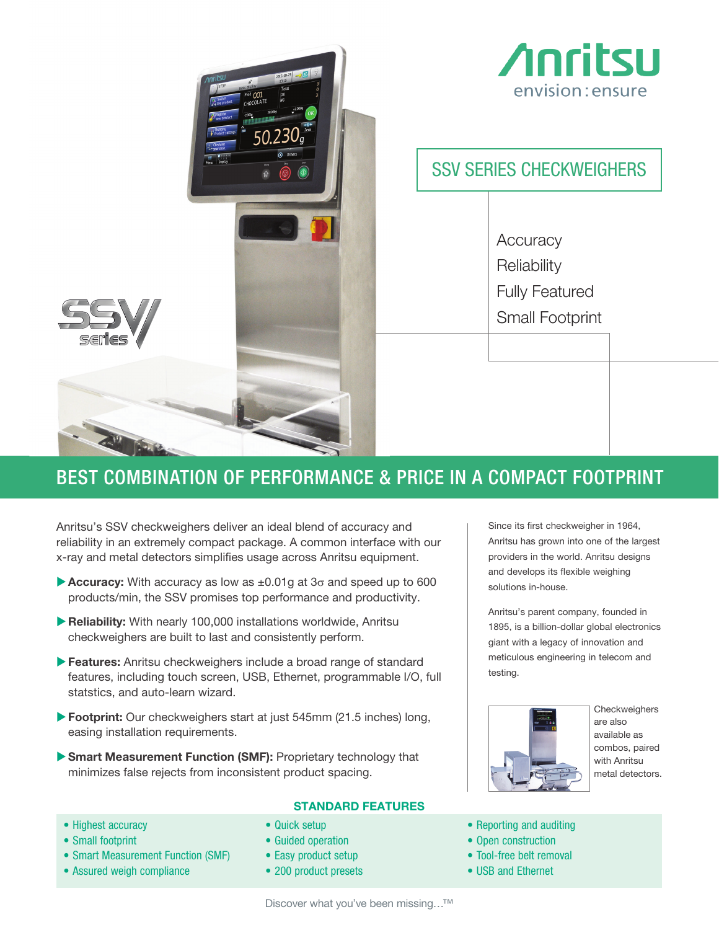

## BEST COMBINATION OF PERFORMANCE & PRICE IN A COMPACT FOOTPRINT

Anritsu's SSV checkweighers deliver an ideal blend of accuracy and reliability in an extremely compact package. A common interface with our x-ray and metal detectors simplifies usage across Anritsu equipment.

- $\blacktriangleright$  Accuracy: With accuracy as low as  $\pm 0.01g$  at 3 $\sigma$  and speed up to 600 products/min, the SSV promises top performance and productivity.
- $\blacktriangleright$  Reliability: With nearly 100,000 installations worldwide, Anritsu checkweighers are built to last and consistently perform.
- **Features:** Anritsu checkweighers include a broad range of standard features, including touch screen, USB, Ethernet, programmable I/O, full statstics, and auto-learn wizard.
- ▶ Footprint: Our checkweighers start at just 545mm (21.5 inches) long, easing installation requirements.
- Smart Measurement Function (SMF): Proprietary technology that minimizes false rejects from inconsistent product spacing.

### STANDARD FEATURES

- Highest accuracy
- Small footprint
- Smart Measurement Function (SMF)
- Assured weigh compliance
- Quick setup
- Guided operation
- Easy product setup
- 200 product presets

Since its first checkweigher in 1964, Anritsu has grown into one of the largest providers in the world. Anritsu designs and develops its flexible weighing solutions in-house.

Anritsu's parent company, founded in 1895, is a billion-dollar global electronics giant with a legacy of innovation and meticulous engineering in telecom and testing.



**Checkweighers** are also available as combos, paired with Anritsu metal detectors.

- Reporting and auditing
- Open construction
- Tool-free belt removal
- USB and Ethernet

Discover what you've been missing…™